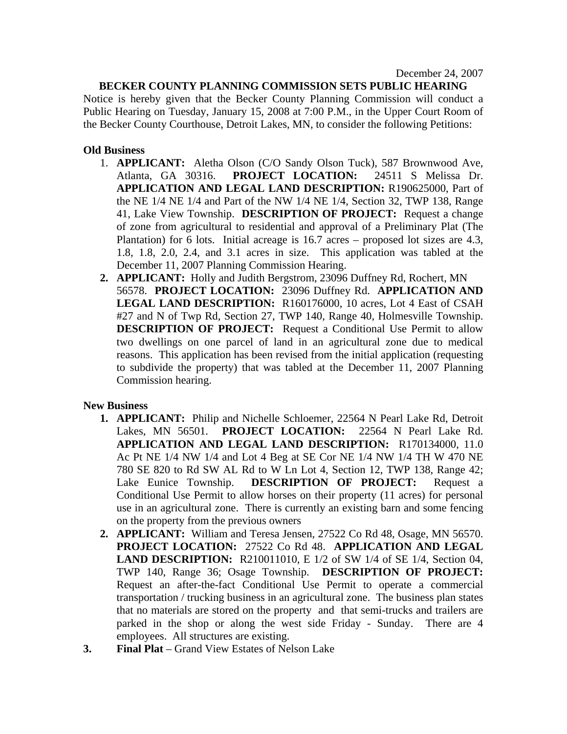## **BECKER COUNTY PLANNING COMMISSION SETS PUBLIC HEARING**

Notice is hereby given that the Becker County Planning Commission will conduct a Public Hearing on Tuesday, January 15, 2008 at 7:00 P.M., in the Upper Court Room of the Becker County Courthouse, Detroit Lakes, MN, to consider the following Petitions:

## **Old Business**

- 1. **APPLICANT:** Aletha Olson (C/O Sandy Olson Tuck), 587 Brownwood Ave, Atlanta, GA 30316. **PROJECT LOCATION:** 24511 S Melissa Dr. **APPLICATION AND LEGAL LAND DESCRIPTION:** R190625000, Part of the NE 1/4 NE 1/4 and Part of the NW 1/4 NE 1/4, Section 32, TWP 138, Range 41, Lake View Township. **DESCRIPTION OF PROJECT:** Request a change of zone from agricultural to residential and approval of a Preliminary Plat (The Plantation) for 6 lots. Initial acreage is 16.7 acres – proposed lot sizes are 4.3, 1.8, 1.8, 2.0, 2.4, and 3.1 acres in size. This application was tabled at the December 11, 2007 Planning Commission Hearing.
- **2. APPLICANT:** Holly and Judith Bergstrom, 23096 Duffney Rd, Rochert, MN 56578. **PROJECT LOCATION:** 23096 Duffney Rd. **APPLICATION AND LEGAL LAND DESCRIPTION:** R160176000, 10 acres, Lot 4 East of CSAH #27 and N of Twp Rd, Section 27, TWP 140, Range 40, Holmesville Township. **DESCRIPTION OF PROJECT:** Request a Conditional Use Permit to allow two dwellings on one parcel of land in an agricultural zone due to medical reasons. This application has been revised from the initial application (requesting to subdivide the property) that was tabled at the December 11, 2007 Planning Commission hearing.

## **New Business**

- **1. APPLICANT:** Philip and Nichelle Schloemer, 22564 N Pearl Lake Rd, Detroit Lakes, MN 56501. **PROJECT LOCATION:** 22564 N Pearl Lake Rd. **APPLICATION AND LEGAL LAND DESCRIPTION:** R170134000, 11.0 Ac Pt NE 1/4 NW 1/4 and Lot 4 Beg at SE Cor NE 1/4 NW 1/4 TH W 470 NE 780 SE 820 to Rd SW AL Rd to W Ln Lot 4, Section 12, TWP 138, Range 42; Lake Eunice Township. **DESCRIPTION OF PROJECT:** Request a Conditional Use Permit to allow horses on their property (11 acres) for personal use in an agricultural zone. There is currently an existing barn and some fencing on the property from the previous owners
- **2. APPLICANT:** William and Teresa Jensen, 27522 Co Rd 48, Osage, MN 56570. **PROJECT LOCATION:** 27522 Co Rd 48. **APPLICATION AND LEGAL LAND DESCRIPTION:** R210011010, E 1/2 of SW 1/4 of SE 1/4, Section 04, TWP 140, Range 36; Osage Township. **DESCRIPTION OF PROJECT:** Request an after-the-fact Conditional Use Permit to operate a commercial transportation / trucking business in an agricultural zone. The business plan states that no materials are stored on the property and that semi-trucks and trailers are parked in the shop or along the west side Friday - Sunday. There are 4 employees. All structures are existing.
- **3. Final Plat** Grand View Estates of Nelson Lake